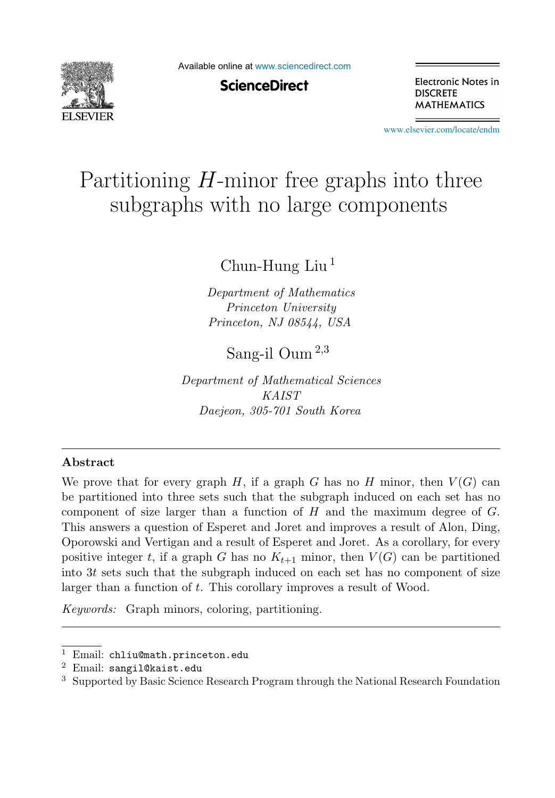

Available online at [www.sciencedirect.com](http://www.sciencedirect.com)

**ScienceDirect** 

Electronic Notes in **DISCRETE MATHEMATICS** 

[www.elsevier.com/locate/endm](http://www.elsevier.com/locate/endm)

# Partitioning  $H$ -minor free graphs into three subgraphs with no large components  $\begin{array}{ccc} \circ & \circ & \circ & \circ & \circ \end{array}$

Chun-Hung Liu <sup>1</sup>

*Department of Mathematics Princeton University Princeton, NJ 08544, USA*

Sang-il Oum <sup>2</sup>,<sup>3</sup>

*Department of Mathematical Sciences KAIST Daejeon, 305-701 South Korea*

#### **Abstract**

We prove that for every graph H, if a graph G has no H minor, then  $V(G)$  can be partitioned into three sets such that the subgraph induced on each set has no component of size larger than a function of  $H$  and the maximum degree of  $G$ . This answers a question of Esperet and Joret and improves a result of Alon, Ding, Oporowski and Vertigan and a result of Esperet and Joret. As a corollary, for every positive integer t, if a graph G has no  $K_{t+1}$  minor, then  $V(G)$  can be partitioned into 3t sets such that the subgraph induced on each set has no component of size larger than a function of t. This corollary improves a result of Wood.

*Keywords:* Graph minors, coloring, partitioning.

<sup>1</sup> Email: chliu@math.princeton.edu

<sup>2</sup> Email: sangil@kaist.edu

<sup>3</sup> Supported by Basic Science Research Program through the National Research Foundation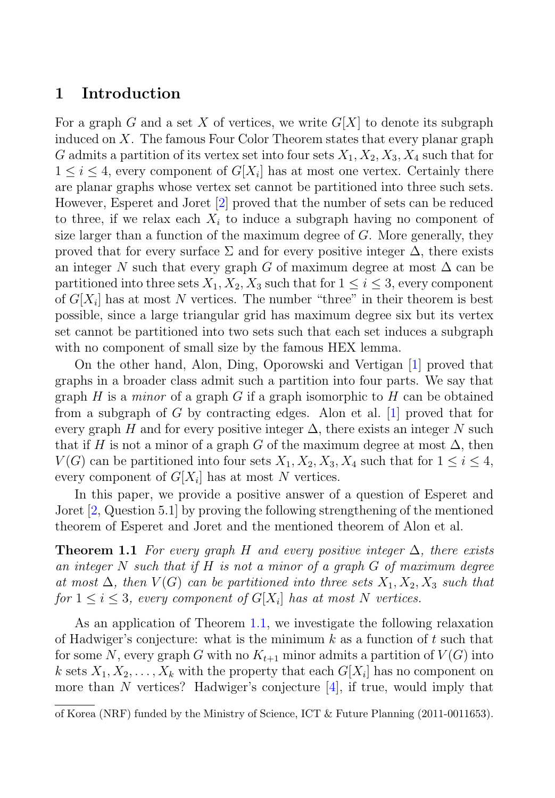### **1 Introduction**

For a graph G and a set X of vertices, we write  $G[X]$  to denote its subgraph induced on X. The famous Four Color Theorem states that every planar graph G admits a partition of its vertex set into four sets  $X_1, X_2, X_3, X_4$  such that for  $1 \leq i \leq 4$ , every component of  $G[X_i]$  has at most one vertex. Certainly there are planar graphs whose vertex set cannot be partitioned into three such sets. However, Esperet and Joret [2] proved that the number of sets can be reduced to three, if we relax each  $X_i$  to induce a subgraph having no component of size larger than a function of the maximum degree of  $G$ . More generally, they proved that for every surface  $\Sigma$  and for every positive integer  $\Delta$ , there exists an integer N such that every graph G of maximum degree at most  $\Delta$  can be partitioned into three sets  $X_1, X_2, X_3$  such that for  $1 \leq i \leq 3$ , every component of  $G[X_i]$  has at most N vertices. The number "three" in their theorem is best possible, since a large triangular grid has maximum degree six but its vertex set cannot be partitioned into two sets such that each set induces a subgraph with no component of small size by the famous HEX lemma.

On the other hand, Alon, Ding, Oporowski and Vertigan [1] proved that graphs in a broader class admit such a partition into four parts. We say that graph H is a *minor* of a graph G if a graph isomorphic to H can be obtained from a subgraph of G by contracting edges. Alon et al. [1] proved that for every graph H and for every positive integer  $\Delta$ , there exists an integer N such that if H is not a minor of a graph G of the maximum degree at most  $\Delta$ , then  $V(G)$  can be partitioned into four sets  $X_1, X_2, X_3, X_4$  such that for  $1 \leq i \leq 4$ , every component of  $G[X_i]$  has at most N vertices.

In this paper, we provide a positive answer of a question of Esperet and Joret [2, Question 5.1] by proving the following strengthening of the mentioned theorem of Esperet and Joret and the mentioned theorem of Alon et al.

**Theorem 1.1** For every graph H and every positive integer  $\Delta$ , there exists an integer  $N$  such that if  $H$  is not a minor of a graph  $G$  of maximum degree at most  $\Delta$ , then  $V(G)$  can be partitioned into three sets  $X_1, X_2, X_3$  such that for  $1 \leq i \leq 3$ , every component of  $G[X_i]$  has at most N vertices.

As an application of Theorem 1.1, we investigate the following relaxation of Hadwiger's conjecture: what is the minimum  $k$  as a function of  $t$  such that for some N, every graph G with no  $K_{t+1}$  minor admits a partition of  $V(G)$  into k sets  $X_1, X_2, \ldots, X_k$  with the property that each  $G[X_i]$  has no component on more than N vertices? Hadwiger's conjecture  $[4]$ , if true, would imply that

of Korea (NRF) funded by the Ministry of Science, ICT & Future Planning (2011-0011653).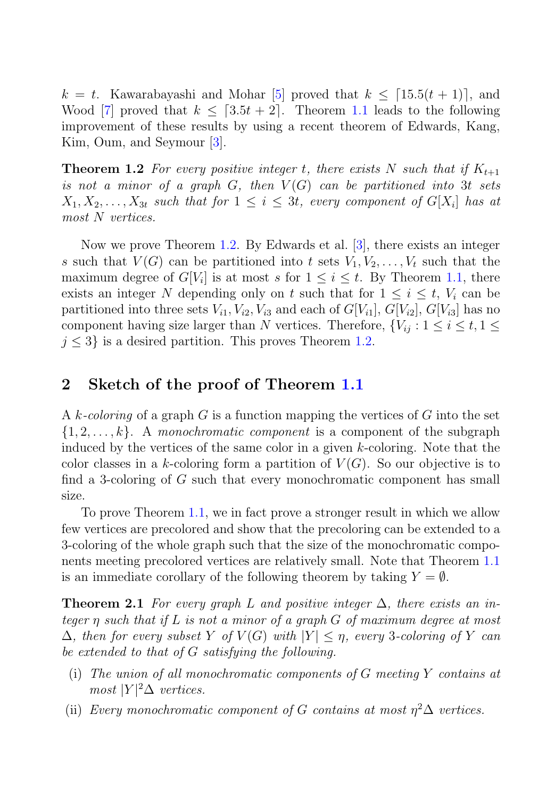$k = t$ . Kawarabayashi and Mohar [5] proved that  $k \leq [15.5(t + 1)]$ , and Wood [7] proved that  $k \leq [3.5t + 2]$ . Theorem 1.1 leads to the following improvement of these results by using a recent theorem of Edwards, Kang, Kim, Oum, and Seymour [3].

**Theorem 1.2** For every positive integer t, there exists N such that if  $K_{t+1}$ is not a minor of a graph  $G$ , then  $V(G)$  can be partitioned into 3t sets  $X_1, X_2, \ldots, X_{3t}$  such that for  $1 \leq i \leq 3t$ , every component of  $G[X_i]$  has at most N vertices.

Now we prove Theorem 1.2. By Edwards et al. [3], there exists an integer s such that  $V(G)$  can be partitioned into t sets  $V_1, V_2, \ldots, V_t$  such that the maximum degree of  $G[V_i]$  is at most s for  $1 \leq i \leq t$ . By Theorem 1.1, there exists an integer N depending only on t such that for  $1 \leq i \leq t$ ,  $V_i$  can be partitioned into three sets  $V_{i1}$ ,  $V_{i2}$ ,  $V_{i3}$  and each of  $G[V_{i1}]$ ,  $G[V_{i2}]$ ,  $G[V_{i3}]$  has no component having size larger than N vertices. Therefore,  $\{V_{ij} : 1 \le i \le t, 1 \le j \le t\}$  $j \leq 3$  is a desired partition. This proves Theorem 1.2.

### **2 Sketch of the proof of Theorem 1.1**

A k-coloring of a graph G is a function mapping the vertices of G into the set  $\{1, 2, \ldots, k\}$ . A monochromatic component is a component of the subgraph induced by the vertices of the same color in a given k-coloring. Note that the color classes in a k-coloring form a partition of  $V(G)$ . So our objective is to find a 3-coloring of G such that every monochromatic component has small size.

To prove Theorem 1.1, we in fact prove a stronger result in which we allow few vertices are precolored and show that the precoloring can be extended to a 3-coloring of the whole graph such that the size of the monochromatic components meeting precolored vertices are relatively small. Note that Theorem 1.1 is an immediate corollary of the following theorem by taking  $Y = \emptyset$ .

**Theorem 2.1** For every graph L and positive integer  $\Delta$ , there exists an integer η such that if L is not a minor of a graph G of maximum degree at most  $\Delta$ , then for every subset Y of  $V(G)$  with  $|Y| \leq \eta$ , every 3-coloring of Y can be extended to that of G satisfying the following.

- (i) The union of all monochromatic components of  $G$  meeting  $Y$  contains at most  $|Y|^2\Delta$  vertices.
- (ii) Every monochromatic component of G contains at most  $\eta^2 \Delta$  vertices.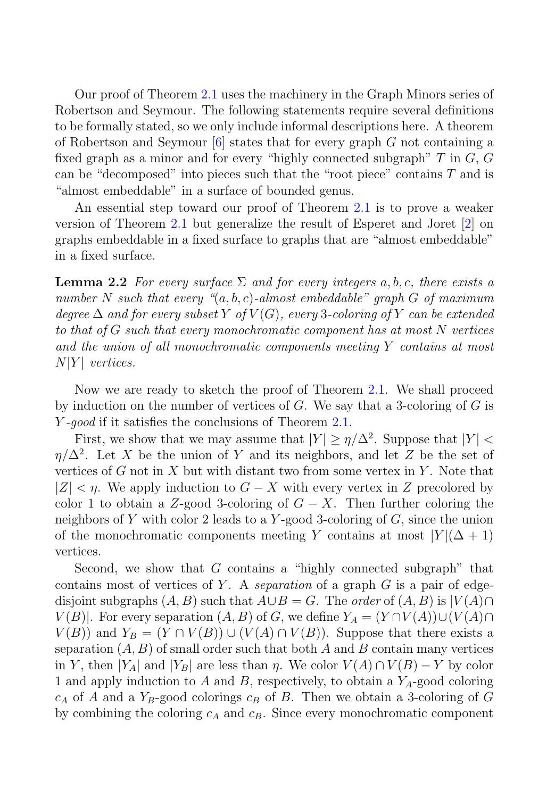Our proof of Theorem 2.1 uses the machinery in the Graph Minors series of Robertson and Seymour. The following statements require several definitions to be formally stated, so we only include informal descriptions here. A theorem of Robertson and Seymour  $[6]$  states that for every graph G not containing a fixed graph as a minor and for every "highly connected subgraph"  $T$  in  $G$ ,  $G$ can be "decomposed" into pieces such that the "root piece" contains  $T$  and is "almost embeddable" in a surface of bounded genus.

An essential step toward our proof of Theorem 2.1 is to prove a weaker version of Theorem 2.1 but generalize the result of Esperet and Joret [2] on graphs embeddable in a fixed surface to graphs that are "almost embeddable" in a fixed surface.

**Lemma 2.2** For every surface  $\Sigma$  and for every integers a, b, c, there exists a number N such that every " $(a, b, c)$ -almost embeddable" graph G of maximum degree  $\Delta$  and for every subset Y of  $V(G)$ , every 3-coloring of Y can be extended to that of G such that every monochromatic component has at most N vertices and the union of all monochromatic components meeting Y contains at most  $N|Y|$  vertices.

Now we are ready to sketch the proof of Theorem 2.1. We shall proceed by induction on the number of vertices of  $G$ . We say that a 3-coloring of  $G$  is Y-good if it satisfies the conclusions of Theorem 2.1.

First, we show that we may assume that  $|Y| \ge \eta/\Delta^2$ . Suppose that  $|Y|$  $\eta/\Delta^2$ . Let X be the union of Y and its neighbors, and let Z be the set of vertices of G not in X but with distant two from some vertex in Y. Note that  $|Z| < \eta$ . We apply induction to  $G - X$  with every vertex in Z precolored by color 1 to obtain a Z-good 3-coloring of  $G - X$ . Then further coloring the neighbors of Y with color 2 leads to a Y-good 3-coloring of  $G$ , since the union of the monochromatic components meeting Y contains at most  $|Y|(\Delta + 1)$ vertices.

Second, we show that  $G$  contains a "highly connected subgraph" that contains most of vertices of Y. A separation of a graph  $G$  is a pair of edgedisjoint subgraphs  $(A, B)$  such that  $A \cup B = G$ . The *order* of  $(A, B)$  is  $|V(A) \cap$  $V(B)$ . For every separation  $(A, B)$  of G, we define  $Y_A = (Y \cap V(A)) \cup (V(A) \cap V(B))$  $V(B)$ ) and  $Y_B = (Y \cap V(B)) \cup (V(A) \cap V(B))$ . Suppose that there exists a separation  $(A, B)$  of small order such that both A and B contain many vertices in Y, then  $|Y_A|$  and  $|Y_B|$  are less than  $\eta$ . We color  $V(A) \cap V(B) - Y$  by color 1 and apply induction to A and B, respectively, to obtain a  $Y_A$ -good coloring  $c_A$  of A and a Y<sub>B</sub>-good colorings  $c_B$  of B. Then we obtain a 3-coloring of G by combining the coloring  $c_A$  and  $c_B$ . Since every monochromatic component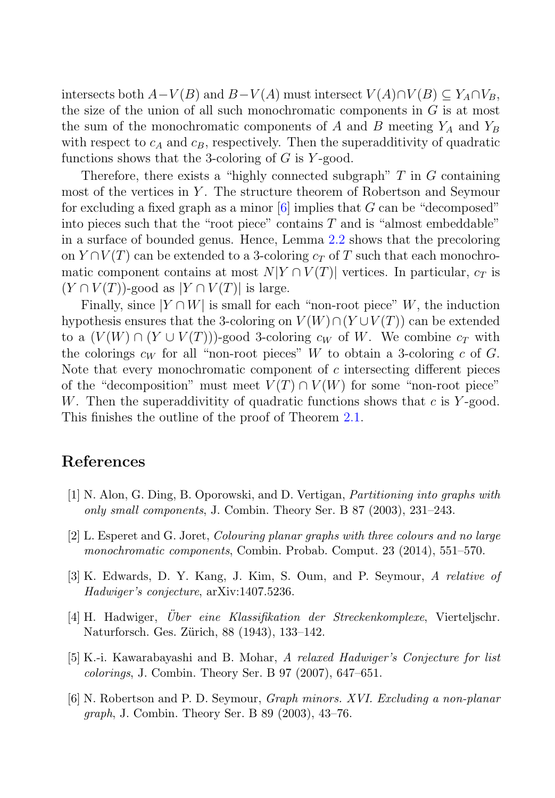intersects both  $A-V(B)$  and  $B-V(A)$  must intersect  $V(A)\cap V(B) \subseteq Y_A \cap V_B$ , the size of the union of all such monochromatic components in  $G$  is at most the sum of the monochromatic components of A and B meeting  $Y_A$  and  $Y_B$ with respect to  $c_A$  and  $c_B$ , respectively. Then the superadditivity of quadratic functions shows that the 3-coloring of  $G$  is  $Y$ -good.

Therefore, there exists a "highly connected subgraph"  $T$  in  $G$  containing most of the vertices in Y . The structure theorem of Robertson and Seymour for excluding a fixed graph as a minor  $[6]$  implies that G can be "decomposed" into pieces such that the "root piece" contains  $T$  and is "almost embeddable" in a surface of bounded genus. Hence, Lemma 2.2 shows that the precoloring on  $Y \cap V(T)$  can be extended to a 3-coloring  $c<sub>T</sub>$  of T such that each monochromatic component contains at most  $N|Y \cap V(T)|$  vertices. In particular,  $c_T$  is  $(Y \cap V(T))$ -good as  $|Y \cap V(T)|$  is large.

Finally, since  $|Y \cap W|$  is small for each "non-root piece" W, the induction hypothesis ensures that the 3-coloring on  $V(W) \cap (Y \cup V(T))$  can be extended to a  $(V(W) \cap (Y \cup V(T)))$ -good 3-coloring  $c_W$  of W. We combine  $c_T$  with the colorings  $c_W$  for all "non-root pieces" W to obtain a 3-coloring c of G. Note that every monochromatic component of  $c$  intersecting different pieces of the "decomposition" must meet  $V(T) \cap V(W)$  for some "non-root piece" W. Then the superaddivitity of quadratic functions shows that  $c$  is Y-good. This finishes the outline of the proof of Theorem 2.1.

## **References**

- [1] N. Alon, G. Ding, B. Oporowski, and D. Vertigan, *Partitioning into graphs with only small components*, J. Combin. Theory Ser. B 87 (2003), 231–243.
- [2] L. Esperet and G. Joret, *Colouring planar graphs with three colours and no large monochromatic components*, Combin. Probab. Comput. 23 (2014), 551–570.
- [3] K. Edwards, D. Y. Kang, J. Kim, S. Oum, and P. Seymour, *A relative of Hadwiger's conjecture*, arXiv:1407.5236.
- [4] H. Hadwiger, *Über eine Klassifikation der Streckenkomplexe*, Vierteljschr. Naturforsch. Ges. Zürich, 88 (1943), 133–142.
- [5] K.-i. Kawarabayashi and B. Mohar, *A relaxed Hadwiger's Conjecture for list colorings*, J. Combin. Theory Ser. B 97 (2007), 647–651.
- [6] N. Robertson and P. D. Seymour, *Graph minors. XVI. Excluding a non-planar graph*, J. Combin. Theory Ser. B 89 (2003), 43–76.